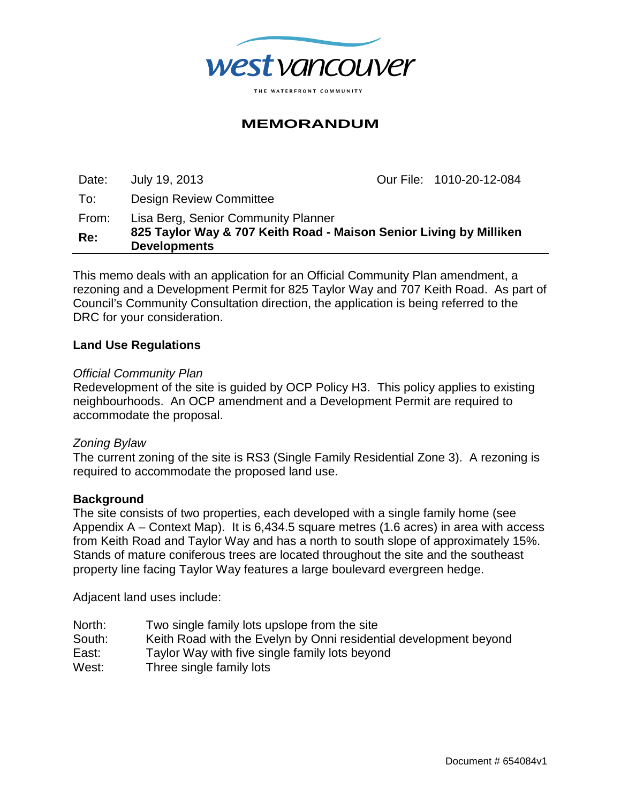

# **MEMORANDUM**

Date: July 19, 2013 Our File: 1010-20-12-084

To: Design Review Committee

From: Lisa Berg, Senior Community Planner

**Re: 825 Taylor Way & 707 Keith Road - Maison Senior Living by Milliken Developments**

This memo deals with an application for an Official Community Plan amendment, a rezoning and a Development Permit for 825 Taylor Way and 707 Keith Road. As part of Council's Community Consultation direction, the application is being referred to the DRC for your consideration.

## **Land Use Regulations**

#### *Official Community Plan*

Redevelopment of the site is guided by OCP Policy H3. This policy applies to existing neighbourhoods. An OCP amendment and a Development Permit are required to accommodate the proposal.

### *Zoning Bylaw*

The current zoning of the site is RS3 (Single Family Residential Zone 3). A rezoning is required to accommodate the proposed land use.

#### **Background**

The site consists of two properties, each developed with a single family home (see Appendix A – Context Map). It is 6,434.5 square metres (1.6 acres) in area with access from Keith Road and Taylor Way and has a north to south slope of approximately 15%. Stands of mature coniferous trees are located throughout the site and the southeast property line facing Taylor Way features a large boulevard evergreen hedge.

Adjacent land uses include:

- North: Two single family lots upslope from the site
- South: Keith Road with the Evelyn by Onni residential development beyond
- East: Taylor Way with five single family lots beyond
- West: Three single family lots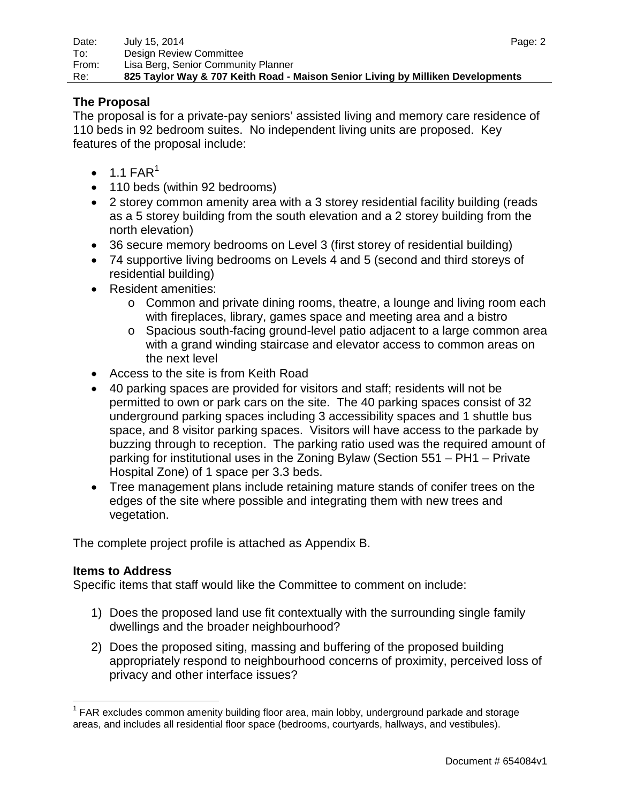## **The Proposal**

The proposal is for a private-pay seniors' assisted living and memory care residence of 110 beds in 92 bedroom suites. No independent living units are proposed. Key features of the proposal include:

- $\bullet$  [1](#page-1-0).1 FAR<sup>1</sup>
- 110 beds (within 92 bedrooms)
- 2 storey common amenity area with a 3 storey residential facility building (reads as a 5 storey building from the south elevation and a 2 storey building from the north elevation)
- 36 secure memory bedrooms on Level 3 (first storey of residential building)
- 74 supportive living bedrooms on Levels 4 and 5 (second and third storeys of residential building)
- Resident amenities:
	- $\circ$  Common and private dining rooms, theatre, a lounge and living room each with fireplaces, library, games space and meeting area and a bistro
	- o Spacious south-facing ground-level patio adjacent to a large common area with a grand winding staircase and elevator access to common areas on the next level
- Access to the site is from Keith Road
- 40 parking spaces are provided for visitors and staff; residents will not be permitted to own or park cars on the site. The 40 parking spaces consist of 32 underground parking spaces including 3 accessibility spaces and 1 shuttle bus space, and 8 visitor parking spaces. Visitors will have access to the parkade by buzzing through to reception. The parking ratio used was the required amount of parking for institutional uses in the Zoning Bylaw (Section 551 – PH1 – Private Hospital Zone) of 1 space per 3.3 beds.
- Tree management plans include retaining mature stands of conifer trees on the edges of the site where possible and integrating them with new trees and vegetation.

The complete project profile is attached as Appendix B.

## **Items to Address**

Specific items that staff would like the Committee to comment on include:

- 1) Does the proposed land use fit contextually with the surrounding single family dwellings and the broader neighbourhood?
- 2) Does the proposed siting, massing and buffering of the proposed building appropriately respond to neighbourhood concerns of proximity, perceived loss of privacy and other interface issues?

<span id="page-1-0"></span> $1$  FAR excludes common amenity building floor area, main lobby, underground parkade and storage areas, and includes all residential floor space (bedrooms, courtyards, hallways, and vestibules).